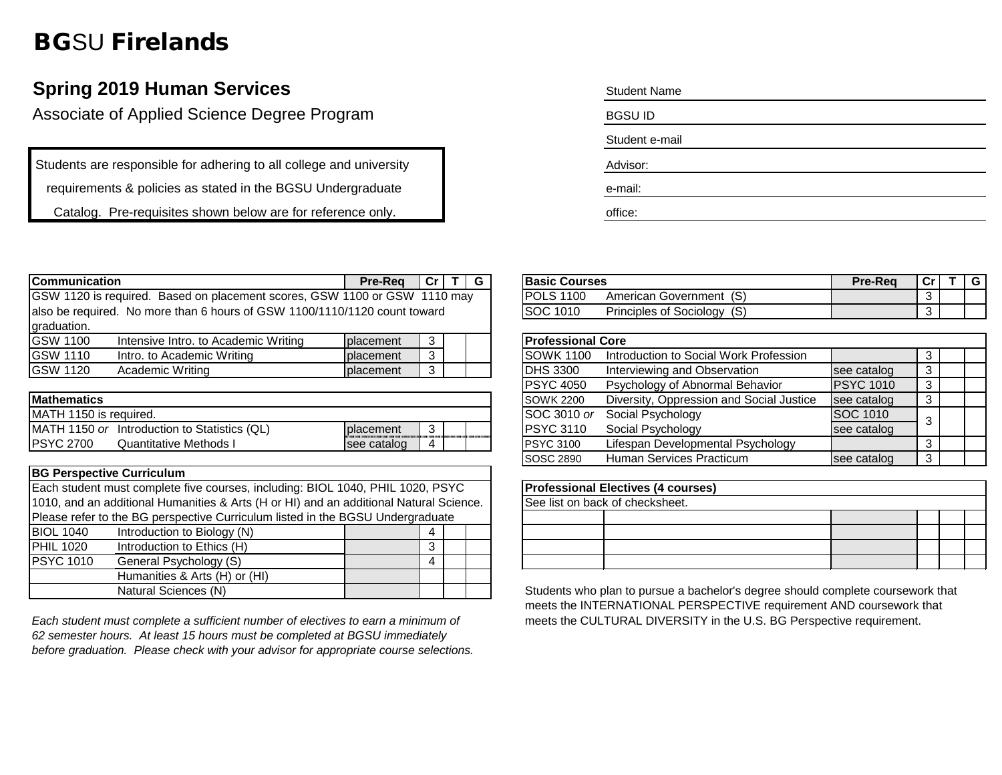## BGSU Firelands

## **Spring 2019 Human Services**

Associate of Applied Science Degree Program

Students are responsible for adhering to all college and university

requirements & policies as stated in the BGSU Undergraduate

Catalog. Pre-requisites shown below are for reference only.

| <b>Student Name</b> |  |  |
|---------------------|--|--|
| <b>BGSUID</b>       |  |  |
| Student e-mail      |  |  |
| Advisor:            |  |  |
| e-mail:             |  |  |
| office:             |  |  |

| lCommunication  |                                                                           | <b>Pre-Rea</b>   | $ Cr $ T $ G $ |  | <b>Basic Courses</b>                                        | Pre-Rea      |  | l G |
|-----------------|---------------------------------------------------------------------------|------------------|----------------|--|-------------------------------------------------------------|--------------|--|-----|
|                 | GSW 1120 is required. Based on placement scores, GSW 1100 or GSW 1110 may |                  |                |  | <b>POLS 1100</b><br>American Government (S)                 |              |  |     |
|                 | also be required. No more than 6 hours of GSW 1100/1110/1120 count toward |                  |                |  | <b>SOC 1010</b><br>Principles of Sociology (S)              |              |  |     |
| graduation.     |                                                                           |                  |                |  |                                                             |              |  |     |
| <b>GSW 1100</b> | Intensive Intro. to Academic Writing                                      | placement        |                |  | <b>Professional Core</b>                                    |              |  |     |
| <b>GSW 1110</b> | Intro. to Academic Writing                                                | <b>placement</b> |                |  | Introduction to Social Work Profession<br><b>ISOWK 1100</b> |              |  |     |
| <b>GSW 1120</b> | Academic Writing                                                          | <b>placement</b> |                |  | Interviewing and Observation<br><b>IDHS 3300</b>            | see catalog  |  |     |
|                 |                                                                           |                  |                |  | PONA, AAB<br>Developed and CAL and a College to the         | $P^{\alpha}$ |  |     |

|                   |  | Diversity, Oppression and Social Justice                                 |                   |                                               |
|-------------------|--|--------------------------------------------------------------------------|-------------------|-----------------------------------------------|
|                   |  |                                                                          |                   |                                               |
| <b>Iplacement</b> |  | Social Psychology                                                        |                   |                                               |
| see catalog       |  | Lifespan Developmental Psychology                                        |                   |                                               |
|                   |  | <b>SOWK 2200</b><br>SOC 3010 or<br><b>IPSYC 3110</b><br><b>PSYC 3100</b> | Social Psychology | see catalog<br><b>SOC 1010</b><br>see catalog |

| <b>BG Perspective Curriculum</b>                                               |                                                                                        |  |   |  |  |  |  |
|--------------------------------------------------------------------------------|----------------------------------------------------------------------------------------|--|---|--|--|--|--|
|                                                                                | Each student must complete five courses, including: BIOL 1040, PHIL 1020, PSYC         |  |   |  |  |  |  |
|                                                                                | 1010, and an additional Humanities & Arts (H or HI) and an additional Natural Science. |  |   |  |  |  |  |
| Please refer to the BG perspective Curriculum listed in the BGSU Undergraduate |                                                                                        |  |   |  |  |  |  |
| <b>BIOL 1040</b>                                                               | Introduction to Biology (N)                                                            |  | 4 |  |  |  |  |
| <b>PHIL 1020</b>                                                               | Introduction to Ethics (H)                                                             |  | 3 |  |  |  |  |
| <b>PSYC 1010</b>                                                               | General Psychology (S)                                                                 |  | 4 |  |  |  |  |
|                                                                                | Humanities & Arts (H) or (HI)                                                          |  |   |  |  |  |  |
|                                                                                | Natural Sciences (N)                                                                   |  |   |  |  |  |  |

*Each student must complete a sufficient number of electives to earn a minimum of 62 semester hours. At least 15 hours must be completed at BGSU immediately before graduation. Please check with your advisor for appropriate course selections.*

| <b>IBasic Courses</b> |                                | <b>Pre-Rea</b> | $\sim$ |  |
|-----------------------|--------------------------------|----------------|--------|--|
| POLS 1100             | American Government (S)        |                |        |  |
| <b>ISOC 1010</b>      | <b>Principles of Sociology</b> |                | ີ      |  |

| <b>Professional Core</b>         |                                          |                  |   |  |  |  |
|----------------------------------|------------------------------------------|------------------|---|--|--|--|
| <b>SOWK 1100</b>                 | Introduction to Social Work Profession   |                  | 3 |  |  |  |
| <b>DHS 3300</b>                  | Interviewing and Observation             | see catalog      | 3 |  |  |  |
| <b>PSYC 4050</b>                 | Psychology of Abnormal Behavior          | <b>PSYC 1010</b> | 3 |  |  |  |
| <b>SOWK 2200</b>                 | Diversity, Oppression and Social Justice | see catalog      | 3 |  |  |  |
| SOC 3010 or<br>Social Psychology |                                          | SOC 1010         | 3 |  |  |  |
| <b>PSYC 3110</b>                 | Social Psychology                        | see catalog      |   |  |  |  |
| <b>PSYC 3100</b>                 | Lifespan Developmental Psychology        |                  | 3 |  |  |  |
| <b>SOSC 2890</b>                 | Human Services Practicum                 | see catalog      | 3 |  |  |  |

| <b>Professional Electives (4 courses)</b> |  |  |  |  |  |  |
|-------------------------------------------|--|--|--|--|--|--|
| See list on back of checksheet.           |  |  |  |  |  |  |
|                                           |  |  |  |  |  |  |
|                                           |  |  |  |  |  |  |
|                                           |  |  |  |  |  |  |
|                                           |  |  |  |  |  |  |

Students who plan to pursue a bachelor's degree should complete coursework that meets the INTERNATIONAL PERSPECTIVE requirement AND coursework that meets the CULTURAL DIVERSITY in the U.S. BG Perspective requirement.